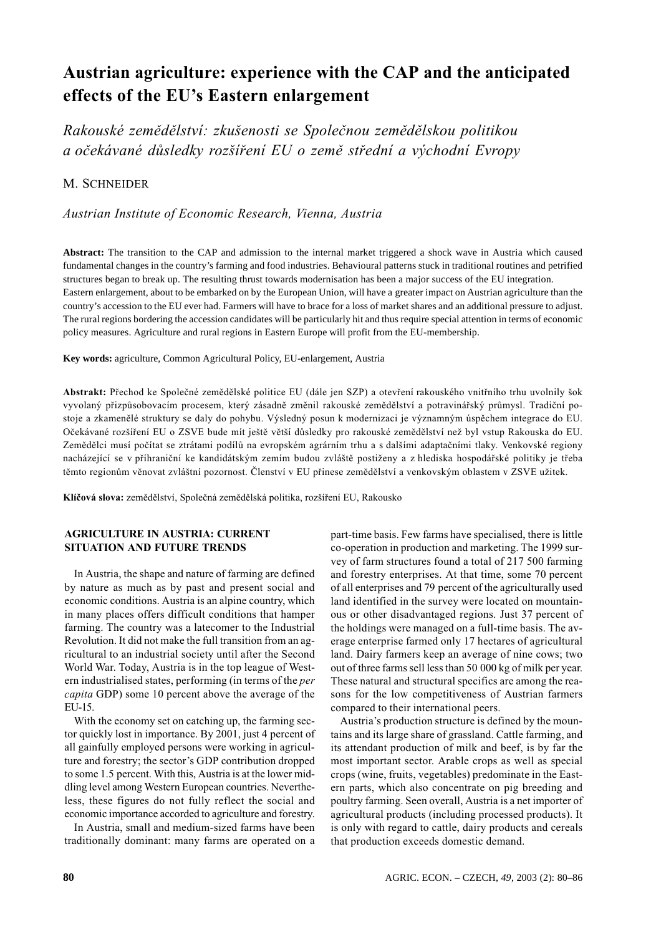# Austrian agriculture: experience with the CAP and the anticipated effects of the EU's Eastern enlargement

Rakouské zemědělství: zkušenosti se Společnou zemědělskou politikou a očekávané důsledky rozšíření EU o země střední a východní Evropy

# M. SCHNEIDER

Austrian Institute of Economic Research, Vienna, Austria

**Abstract:** The transition to the CAP and admission to the internal market triggered a shock wave in Austria which caused fundamental changes in the country's farming and food industries. Behavioural patterns stuck in traditional routines and petrified structures began to break up. The resulting thrust towards modernisation has been a major success of the EU integration. Eastern enlargement, about to be embarked on by the European Union, will have a greater impact on Austrian agriculture than the country's accession to the EU ever had. Farmers will have to brace for a loss of market shares and an additional pressure to adjust. The rural regions bordering the accession candidates will be particularly hit and thus require special attention in terms of economic policy measures. Agriculture and rural regions in Eastern Europe will profit from the EU-membership.

**Key words:** agriculture, Common Agricultural Policy, EU-enlargement, Austria

Abstrakt: Přechod ke Společné zemědělské politice EU (dále jen SZP) a otevření rakouského vnitřního trhu uvolnily šok vyvolaný přizpůsobovacím procesem, který zásadně změnil rakouské zemědělství a potravinářský průmysl. Tradiční postoje a zkamenělé struktury se daly do pohybu. Výsledný posun k modernizaci je významným úspěchem integrace do EU. Očekávané rozšíření EU o ZSVE bude mít ještě větší důsledky pro rakouské zemědělství než byl vstup Rakouska do EU. Zemědělci musí počítat se ztrátami podílů na evropském agrárním trhu a s dalšími adaptačními tlaky. Venkovské regiony nacházející se v příhraniční ke kandidátským zemím budou zvláště postiženy a z hlediska hospodářské politiky je třeba těmto regionům věnovat zvláštní pozornost. Členství v EU přinese zemědělství a venkovským oblastem v ZSVE užitek.

Klíčová slova: zemědělství, Společná zemědělská politika, rozšíření EU, Rakousko

### **AGRICULTURE IN AUSTRIA: CURRENT** SITUATION AND FUTURE TRENDS

In Austria, the shape and nature of farming are defined by nature as much as by past and present social and economic conditions. Austria is an alpine country, which in many places offers difficult conditions that hamper farming. The country was a latecomer to the Industrial Revolution. It did not make the full transition from an agricultural to an industrial society until after the Second World War. Today, Austria is in the top league of Western industrialised states, performing (in terms of the per capita GDP) some 10 percent above the average of the  $EU-15.$ 

With the economy set on catching up, the farming sector quickly lost in importance. By 2001, just 4 percent of all gainfully employed persons were working in agriculture and forestry; the sector's GDP contribution dropped to some 1.5 percent. With this, Austria is at the lower middling level among Western European countries. Nevertheless, these figures do not fully reflect the social and economic importance accorded to agriculture and forestry.

In Austria, small and medium-sized farms have been traditionally dominant: many farms are operated on a part-time basis. Few farms have specialised, there is little co-operation in production and marketing. The 1999 survey of farm structures found a total of 217 500 farming and forestry enterprises. At that time, some 70 percent of all enterprises and 79 percent of the agriculturally used land identified in the survey were located on mountainous or other disadvantaged regions. Just 37 percent of the holdings were managed on a full-time basis. The average enterprise farmed only 17 hectares of agricultural land. Dairy farmers keep an average of nine cows; two out of three farms sell less than 50 000 kg of milk per year. These natural and structural specifics are among the reasons for the low competitiveness of Austrian farmers compared to their international peers.

Austria's production structure is defined by the mountains and its large share of grassland. Cattle farming, and its attendant production of milk and beef, is by far the most important sector. Arable crops as well as special crops (wine, fruits, vegetables) predominate in the Eastern parts, which also concentrate on pig breeding and poultry farming. Seen overall, Austria is a net importer of agricultural products (including processed products). It is only with regard to cattle, dairy products and cereals that production exceeds domestic demand.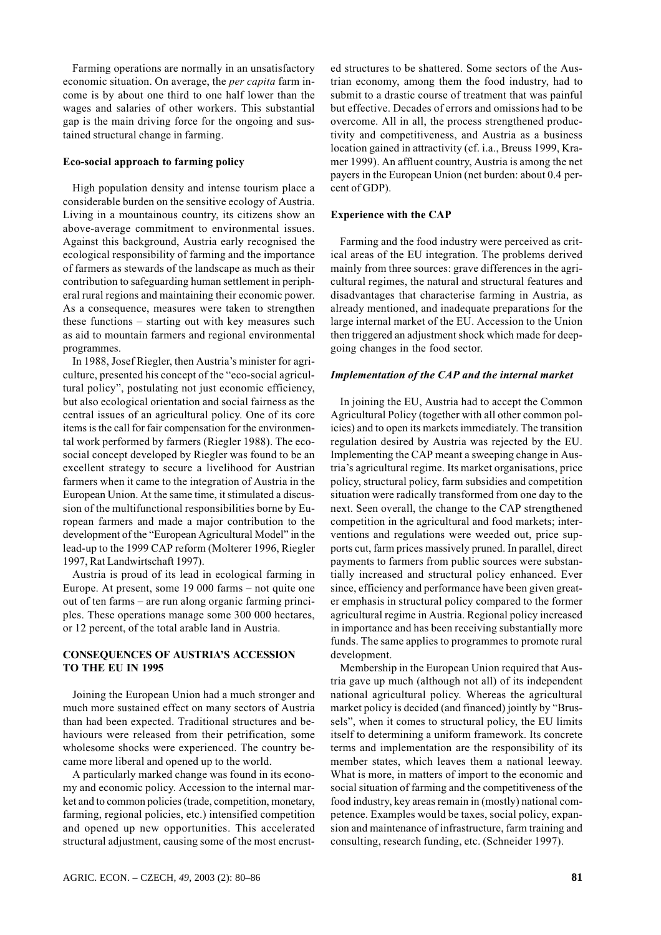Farming operations are normally in an unsatisfactory economic situation. On average, the *per capita* farm income is by about one third to one half lower than the wages and salaries of other workers. This substantial gap is the main driving force for the ongoing and sustained structural change in farming.

#### Eco-social approach to farming policy

High population density and intense tourism place a considerable burden on the sensitive ecology of Austria. Living in a mountainous country, its citizens show an above-average commitment to environmental issues. Against this background, Austria early recognised the ecological responsibility of farming and the importance of farmers as stewards of the landscape as much as their contribution to safeguarding human settlement in peripheral rural regions and maintaining their economic power. As a consequence, measures were taken to strengthen these functions - starting out with key measures such as aid to mountain farmers and regional environmental programmes.

In 1988, Josef Riegler, then Austria's minister for agriculture, presented his concept of the "eco-social agricultural policy", postulating not just economic efficiency, but also ecological orientation and social fairness as the central issues of an agricultural policy. One of its core items is the call for fair compensation for the environmental work performed by farmers (Riegler 1988). The ecosocial concept developed by Riegler was found to be an excellent strategy to secure a livelihood for Austrian farmers when it came to the integration of Austria in the European Union. At the same time, it stimulated a discussion of the multifunctional responsibilities borne by European farmers and made a major contribution to the development of the "European Agricultural Model" in the lead-up to the 1999 CAP reform (Molterer 1996, Riegler 1997, Rat Landwirtschaft 1997).

Austria is proud of its lead in ecological farming in Europe. At present, some 19 000 farms – not quite one out of ten farms – are run along organic farming principles. These operations manage some 300 000 hectares, or 12 percent, of the total arable land in Austria.

## **CONSEQUENCES OF AUSTRIA'S ACCESSION** TO THE EII IN 1995

Joining the European Union had a much stronger and much more sustained effect on many sectors of Austria than had been expected. Traditional structures and behaviours were released from their petrification, some wholesome shocks were experienced. The country became more liberal and opened up to the world.

A particularly marked change was found in its economy and economic policy. Accession to the internal market and to common policies (trade, competition, monetary, farming, regional policies, etc.) intensified competition and opened up new opportunities. This accelerated structural adjustment, causing some of the most encrusted structures to be shattered. Some sectors of the Austrian economy, among them the food industry, had to submit to a drastic course of treatment that was painful but effective. Decades of errors and omissions had to be overcome. All in all, the process strengthened productivity and competitiveness, and Austria as a business location gained in attractivity (cf. i.a., Breuss 1999, Kramer 1999). An affluent country, Austria is among the net payers in the European Union (net burden: about 0.4 percent of GDP).

#### **Experience with the CAP**

Farming and the food industry were perceived as critical areas of the EU integration. The problems derived mainly from three sources: grave differences in the agricultural regimes, the natural and structural features and disadvantages that characterise farming in Austria, as already mentioned, and inadequate preparations for the large internal market of the EU. Accession to the Union then triggered an adjustment shock which made for deepgoing changes in the food sector.

#### Implementation of the CAP and the internal market

In joining the EU, Austria had to accept the Common Agricultural Policy (together with all other common policies) and to open its markets immediately. The transition regulation desired by Austria was rejected by the EU. Implementing the CAP meant a sweeping change in Austria's agricultural regime. Its market organisations, price policy, structural policy, farm subsidies and competition situation were radically transformed from one day to the next. Seen overall, the change to the CAP strengthened competition in the agricultural and food markets; interventions and regulations were weeded out, price supports cut, farm prices massively pruned. In parallel, direct payments to farmers from public sources were substantially increased and structural policy enhanced. Ever since, efficiency and performance have been given greater emphasis in structural policy compared to the former agricultural regime in Austria. Regional policy increased in importance and has been receiving substantially more funds. The same applies to programmes to promote rural development.

Membership in the European Union required that Austria gave up much (although not all) of its independent national agricultural policy. Whereas the agricultural market policy is decided (and financed) jointly by "Brussels", when it comes to structural policy, the EU limits itself to determining a uniform framework. Its concrete terms and implementation are the responsibility of its member states, which leaves them a national leeway. What is more, in matters of import to the economic and social situation of farming and the competitiveness of the food industry, key areas remain in (mostly) national competence. Examples would be taxes, social policy, expansion and maintenance of infrastructure, farm training and consulting, research funding, etc. (Schneider 1997).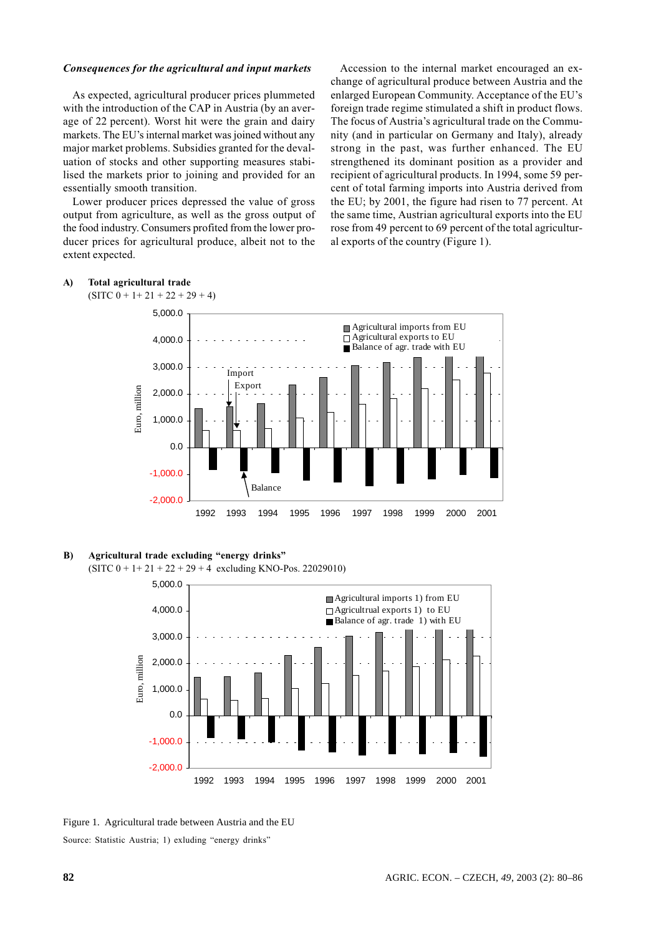#### Consequences for the agricultural and input markets

As expected, agricultural producer prices plummeted with the introduction of the CAP in Austria (by an average of 22 percent). Worst hit were the grain and dairy markets. The EU's internal market was joined without any major market problems. Subsidies granted for the devaluation of stocks and other supporting measures stabilised the markets prior to joining and provided for an essentially smooth transition.

Lower producer prices depressed the value of gross output from agriculture, as well as the gross output of the food industry. Consumers profited from the lower producer prices for agricultural produce, albeit not to the extent expected.

Total agricultural trade

A)

Accession to the internal market encouraged an exchange of agricultural produce between Austria and the enlarged European Community. Acceptance of the EU's foreign trade regime stimulated a shift in product flows. The focus of Austria's agricultural trade on the Community (and in particular on Germany and Italy), already strong in the past, was further enhanced. The EU strengthened its dominant position as a provider and recipient of agricultural products. In 1994, some 59 percent of total farming imports into Austria derived from the EU; by 2001, the figure had risen to 77 percent. At the same time, Austrian agricultural exports into the EU rose from 49 percent to 69 percent of the total agricultural exports of the country (Figure 1).



#### $B)$ Agricultural trade excluding "energy drinks"

(SITC  $0 + 1 + 21 + 22 + 29 + 4$  excluding KNO-Pos. 22029010)



Figure 1. Agricultural trade between Austria and the EU Source: Statistic Austria; 1) exluding "energy drinks"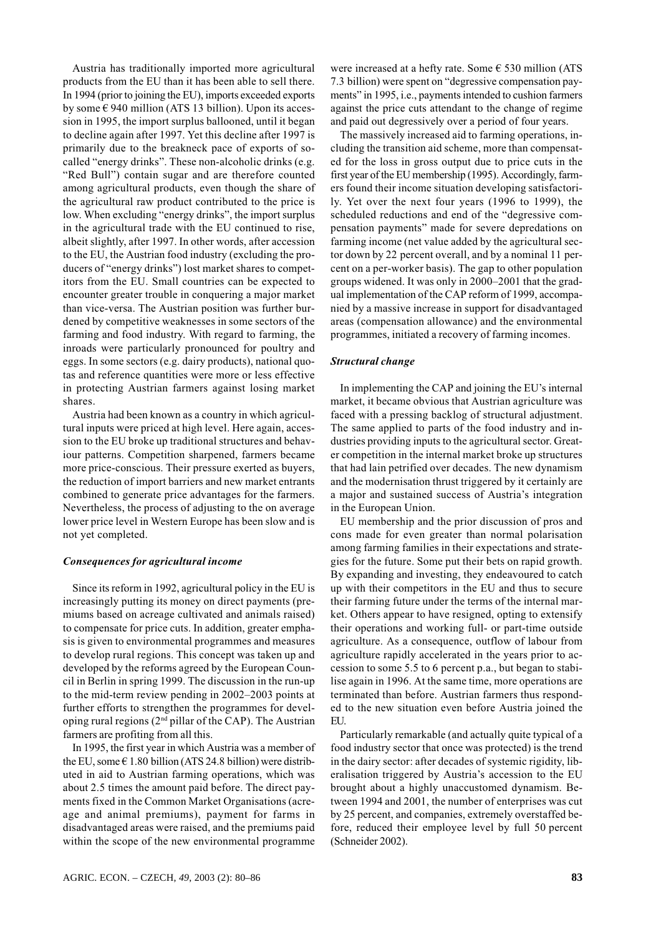Austria has traditionally imported more agricultural products from the EU than it has been able to sell there. In 1994 (prior to joining the EU), imports exceeded exports by some  $\epsilon$  940 million (ATS 13 billion). Upon its accession in 1995, the import surplus ballooned, until it began to decline again after 1997. Yet this decline after 1997 is primarily due to the breakneck pace of exports of socalled "energy drinks". These non-alcoholic drinks (e.g. "Red Bull") contain sugar and are therefore counted among agricultural products, even though the share of the agricultural raw product contributed to the price is low. When excluding "energy drinks", the import surplus in the agricultural trade with the EU continued to rise. albeit slightly, after 1997. In other words, after accession to the EU, the Austrian food industry (excluding the producers of "energy drinks") lost market shares to competitors from the EU. Small countries can be expected to encounter greater trouble in conquering a major market than vice-versa. The Austrian position was further burdened by competitive weaknesses in some sectors of the farming and food industry. With regard to farming, the inroads were particularly pronounced for poultry and eggs. In some sectors (e.g. dairy products), national quotas and reference quantities were more or less effective in protecting Austrian farmers against losing market shares.

Austria had been known as a country in which agricultural inputs were priced at high level. Here again, accession to the EU broke up traditional structures and behaviour patterns. Competition sharpened, farmers became more price-conscious. Their pressure exerted as buyers, the reduction of import barriers and new market entrants combined to generate price advantages for the farmers. Nevertheless, the process of adjusting to the on average lower price level in Western Europe has been slow and is not yet completed.

#### Consequences for agricultural income

Since its reform in 1992, agricultural policy in the EU is increasingly putting its money on direct payments (premiums based on acreage cultivated and animals raised) to compensate for price cuts. In addition, greater emphasis is given to environmental programmes and measures to develop rural regions. This concept was taken up and developed by the reforms agreed by the European Council in Berlin in spring 1999. The discussion in the run-up to the mid-term review pending in  $2002-2003$  points at further efforts to strengthen the programmes for developing rural regions (2<sup>nd</sup> pillar of the CAP). The Austrian farmers are profiting from all this.

In 1995, the first year in which Austria was a member of the EU, some  $\epsilon$  1.80 billion (ATS 24.8 billion) were distributed in aid to Austrian farming operations, which was about 2.5 times the amount paid before. The direct payments fixed in the Common Market Organisations (acreage and animal premiums), payment for farms in disadvantaged areas were raised, and the premiums paid within the scope of the new environmental programme

were increased at a hefty rate. Some  $\epsilon$  530 million (ATS 7.3 billion) were spent on "degressive compensation payments" in 1995, i.e., payments intended to cushion farmers against the price cuts attendant to the change of regime and paid out degressively over a period of four years.

The massively increased aid to farming operations, including the transition aid scheme, more than compensated for the loss in gross output due to price cuts in the first year of the EU membership (1995). Accordingly, farmers found their income situation developing satisfactorily. Yet over the next four years (1996 to 1999), the scheduled reductions and end of the "degressive compensation payments" made for severe depredations on farming income (net value added by the agricultural sector down by 22 percent overall, and by a nominal 11 percent on a per-worker basis). The gap to other population groups widened. It was only in 2000–2001 that the gradual implementation of the CAP reform of 1999, accompanied by a massive increase in support for disadvantaged areas (compensation allowance) and the environmental programmes, initiated a recovery of farming incomes.

#### **Structural change**

In implementing the CAP and joining the EU's internal market, it became obvious that Austrian agriculture was faced with a pressing backlog of structural adjustment. The same applied to parts of the food industry and industries providing inputs to the agricultural sector. Greater competition in the internal market broke up structures that had lain petrified over decades. The new dynamism and the modernisation thrust triggered by it certainly are a major and sustained success of Austria's integration in the European Union.

EU membership and the prior discussion of pros and cons made for even greater than normal polarisation among farming families in their expectations and strategies for the future. Some put their bets on rapid growth. By expanding and investing, they endeavoured to catch up with their competitors in the EU and thus to secure their farming future under the terms of the internal market. Others appear to have resigned, opting to extensify their operations and working full- or part-time outside agriculture. As a consequence, outflow of labour from agriculture rapidly accelerated in the years prior to accession to some 5.5 to 6 percent p.a., but began to stabilise again in 1996. At the same time, more operations are terminated than before. Austrian farmers thus responded to the new situation even before Austria joined the EU.

Particularly remarkable (and actually quite typical of a food industry sector that once was protected) is the trend in the dairy sector: after decades of systemic rigidity, liberalisation triggered by Austria's accession to the EU brought about a highly unaccustomed dynamism. Between 1994 and 2001, the number of enterprises was cut by 25 percent, and companies, extremely overstaffed before, reduced their employee level by full 50 percent (Schneider 2002).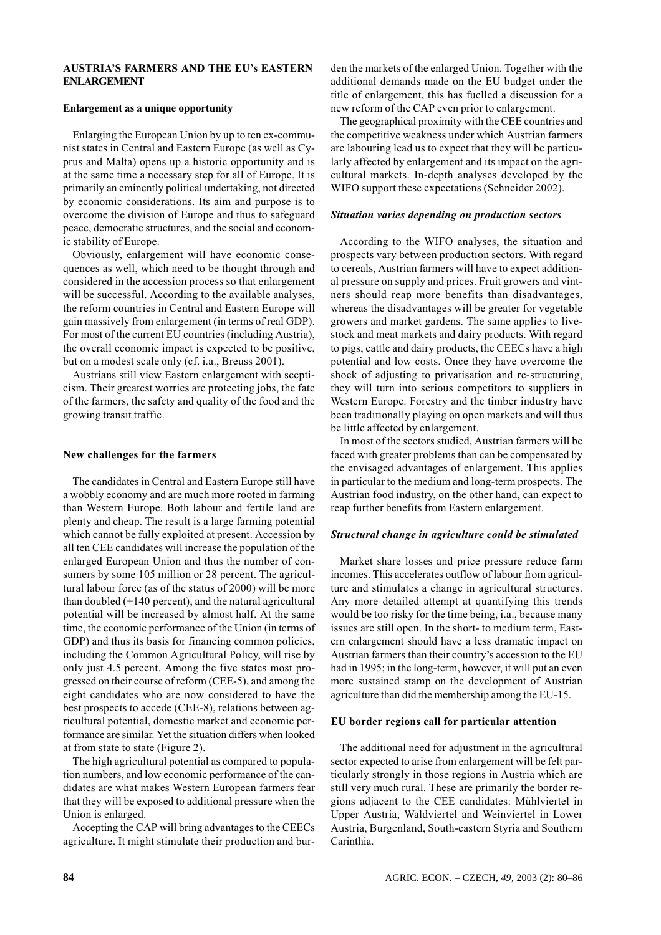# **AUSTRIA'S FARMERS AND THE EU's EASTERN ENLARGEMENT**

#### Enlargement as a unique opportunity

Enlarging the European Union by up to ten ex-communist states in Central and Eastern Europe (as well as Cyprus and Malta) opens up a historic opportunity and is at the same time a necessary step for all of Europe. It is primarily an eminently political undertaking, not directed by economic considerations. Its aim and purpose is to overcome the division of Europe and thus to safeguard neace, democratic structures, and the social and economic stability of Europe.

Obviously, enlargement will have economic consequences as well, which need to be thought through and considered in the accession process so that enlargement will be successful. According to the available analyses, the reform countries in Central and Eastern Europe will gain massively from enlargement (in terms of real GDP). For most of the current EU countries (including Austria), the overall economic impact is expected to be positive, but on a modest scale only (cf. *i.a.*, Breuss 2001).

Austrians still view Eastern enlargement with scepticism. Their greatest worries are protecting jobs, the fate of the farmers, the safety and quality of the food and the growing transit traffic.

#### New challenges for the farmers

The candidates in Central and Eastern Europe still have a wobbly economy and are much more rooted in farming than Western Europe. Both labour and fertile land are plenty and cheap. The result is a large farming potential which cannot be fully exploited at present. Accession by all ten CEE candidates will increase the population of the enlarged European Union and thus the number of consumers by some 105 million or 28 percent. The agricultural labour force (as of the status of 2000) will be more than doubled  $(+140$  percent), and the natural agricultural potential will be increased by almost half. At the same time, the economic performance of the Union (in terms of GDP) and thus its basis for financing common policies, including the Common Agricultural Policy, will rise by only just 4.5 percent. Among the five states most progressed on their course of reform (CEE-5), and among the eight candidates who are now considered to have the best prospects to accede (CEE-8), relations between agricultural potential, domestic market and economic performance are similar. Yet the situation differs when looked at from state to state (Figure 2).

The high agricultural potential as compared to population numbers, and low economic performance of the candidates are what makes Western European farmers fear that they will be exposed to additional pressure when the Union is enlarged.

Accepting the CAP will bring advantages to the CEECs agriculture. It might stimulate their production and burden the markets of the enlarged Union. Together with the additional demands made on the EU budget under the title of enlargement, this has fuelled a discussion for a new reform of the CAP even prior to enlargement.

The geographical proximity with the CEE countries and the competitive weakness under which Austrian farmers are labouring lead us to expect that they will be particularly affected by enlargement and its impact on the agricultural markets. In-depth analyses developed by the WIFO support these expectations (Schneider 2002).

#### Situation varies depending on production sectors

According to the WIFO analyses, the situation and prospects vary between production sectors. With regard to cereals. Austrian farmers will have to expect additional pressure on supply and prices. Fruit growers and vintners should reap more benefits than disadvantages, whereas the disadvantages will be greater for vegetable growers and market gardens. The same applies to livestock and meat markets and dairy products. With regard to pigs, cattle and dairy products, the CEECs have a high potential and low costs. Once they have overcome the shock of adjusting to privatisation and re-structuring, they will turn into serious competitors to suppliers in Western Europe. Forestry and the timber industry have been traditionally playing on open markets and will thus be little affected by enlargement.

In most of the sectors studied, Austrian farmers will be faced with greater problems than can be compensated by the envisaged advantages of enlargement. This applies in particular to the medium and long-term prospects. The Austrian food industry, on the other hand, can expect to reap further benefits from Eastern enlargement.

#### Structural change in agriculture could be stimulated

Market share losses and price pressure reduce farm incomes. This accelerates outflow of labour from agriculture and stimulates a change in agricultural structures. Any more detailed attempt at quantifying this trends would be too risky for the time being, i.a., because many issues are still open. In the short- to medium term, Eastern enlargement should have a less dramatic impact on Austrian farmers than their country's accession to the EU had in 1995; in the long-term, however, it will put an even more sustained stamp on the development of Austrian agriculture than did the membership among the EU-15.

#### EU border regions call for particular attention

The additional need for adjustment in the agricultural sector expected to arise from enlargement will be felt particularly strongly in those regions in Austria which are still very much rural. These are primarily the border regions adjacent to the CEE candidates: Mühlviertel in Upper Austria, Waldviertel and Weinviertel in Lower Austria, Burgenland, South-eastern Styria and Southern Carinthia.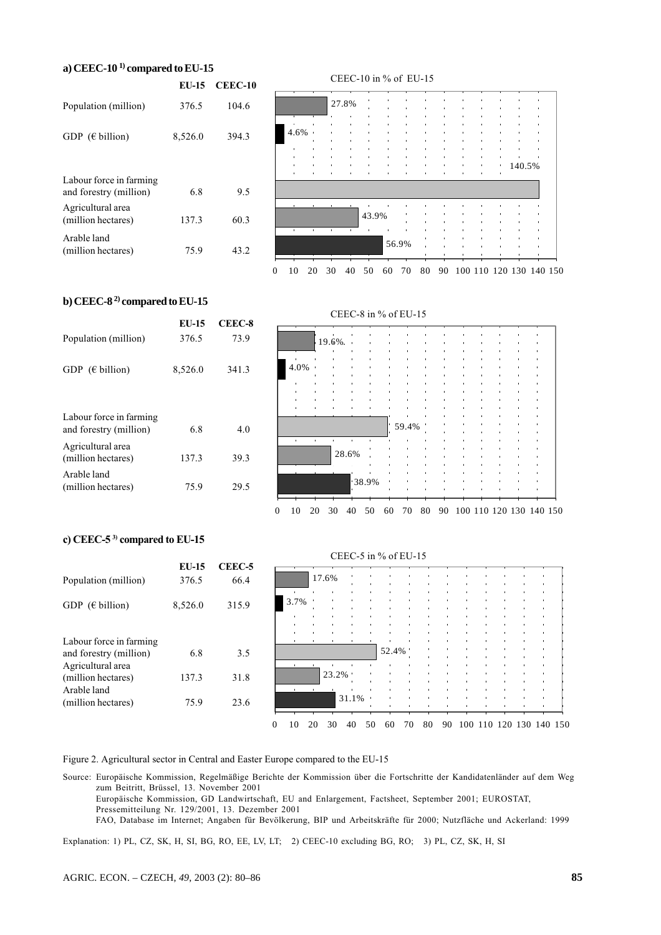# a) CEEC-10<sup>1</sup> compared to EU-15

|                                                   | EU-15   | $CEEC-10$ |
|---------------------------------------------------|---------|-----------|
| Population (million)                              | 376.5   | 104.6     |
| GDP $(\epsilon \text{ billion})$                  | 8,526.0 | 394.3     |
| Labour force in farming<br>and forestry (million) | 6.8     | 9.5       |
| Agricultural area<br>(million hectares)           | 137.3   | 60.3      |
| Arable land<br>(million hectares)                 | 75.9    | 43.2      |



# b) CEEC-8<sup>2)</sup> compared to EU-15

|                                                   | EU-15   | CEEC-8 |
|---------------------------------------------------|---------|--------|
| Population (million)                              | 376.5   | 73.9   |
| GDP $(\epsilon \text{ billion})$                  | 8,526.0 | 341.3  |
| Labour force in farming<br>and forestry (million) | 6.8     | 4.0    |
| Agricultural area<br>(million hectares)           | 137.3   | 39.3   |
| Arable land<br>(million hectares)                 | 75.9    | 29.5   |



# c) CEEC-5<sup>3</sup> compared to EU-15

|                                             | EU-15   | CEEC-5 |
|---------------------------------------------|---------|--------|
| Population (million)                        | 376.5   | 66.4   |
| GDP $(\epsilon$ billion)                    | 8,526.0 | 315.9  |
| Labour force in farming                     |         |        |
| and forestry (million)<br>Agricultural area | 6.8     | 3.5    |
| (million hectares)<br>Arable land           | 137.3   | 31.8   |
| (million hectares)                          | 75.9    | 23.6   |

#### CEEC-5 in % of EU-15

|                      |                     | 17.6%          | $\mathbf{I}$ | ×,      |                      |                |    |              |                                  |          |     |                     |            |
|----------------------|---------------------|----------------|--------------|---------|----------------------|----------------|----|--------------|----------------------------------|----------|-----|---------------------|------------|
|                      |                     |                |              |         |                      |                |    |              |                                  |          |     |                     |            |
| 3.7%                 | ٠                   |                |              | ×       | I.                   | $\blacksquare$ |    | ٠            | $\blacksquare$                   |          | r   | I.                  |            |
|                      | $\mathbf{I}$        | ٠              |              |         | $\blacksquare$       |                |    | ٠            |                                  |          |     | ٠                   |            |
| ×.<br>$\blacksquare$ | ×<br>$\blacksquare$ | $\blacksquare$ |              | ×.<br>٠ | I.<br>$\blacksquare$ | п              |    | ×<br>٠       | <b>I</b><br>$\mathbf{r}$         |          |     | ×                   |            |
|                      | ×                   |                |              |         |                      |                |    |              |                                  |          |     |                     |            |
|                      | $\mathbf{I}$        | $\blacksquare$ | ٠            | ٠       |                      |                |    |              |                                  |          |     |                     |            |
|                      |                     |                |              |         | 52.4%                |                |    | ×            |                                  |          |     |                     |            |
| $\mathbf{I}$         | $\mathbf{I}$        |                |              |         |                      |                |    | ٠<br>×       | $\blacksquare$<br>$\blacksquare$ |          |     | $\blacksquare$<br>п |            |
|                      |                     | 23.2%          |              | ٠       | $\blacksquare$       | ٠              |    | $\mathbf{I}$ | $\,$                             | ٠        | ٠   | $\blacksquare$      |            |
|                      |                     |                |              |         |                      |                |    |              |                                  |          |     |                     |            |
|                      |                     | $\blacksquare$ |              |         |                      |                |    |              |                                  |          |     |                     |            |
|                      |                     |                | 31.1%        |         |                      |                |    |              |                                  |          |     |                     |            |
|                      |                     |                |              | ×       | $\mathbf{I}$         | $\mathbf{I}$   |    | $\mathbf{I}$ | $\mathbf{I}$                     | ٠        | ٠   | $\mathbf{I}$        | ×.         |
| 10                   | 20                  | 30             | 40           | 50      | 60                   | 70             | 80 | 90           | 100                              | $\theta$ | 120 | 130                 | 150<br>140 |

Figure 2. Agricultural sector in Central and Easter Europe compared to the EU-15

Source: Europäische Kommission, Regelmäßige Berichte der Kommission über die Fortschritte der Kandidatenländer auf dem Weg zum Beitritt, Brüssel, 13. November 2001 Europäische Kommission, GD Landwirtschaft, EU and Enlargement, Factsheet, September 2001; EUROSTAT, Pressemitteilung Nr. 129/2001, 13. Dezember 2001

FAO, Database im Internet; Angaben für Bevölkerung, BIP und Arbeitskräfte für 2000; Nutzfläche und Ackerland: 1999

Explanation: 1) PL, CZ, SK, H, SI, BG, RO, EE, LV, LT; 2) CEEC-10 excluding BG, RO; 3) PL, CZ, SK, H, SI